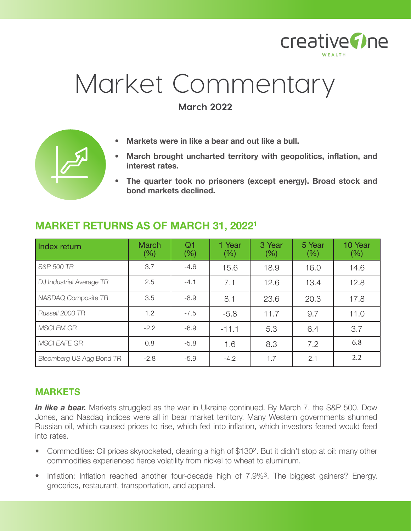

# Market Commentary

**March 2022**



- **• Markets were in like a bear and out like a bull.**
- **• March brought uncharted territory with geopolitics, inflation, and interest rates.**
- **• The quarter took no prisoners (except energy). Broad stock and bond markets declined.**

| Index return             | <b>March</b><br>$(\%)$ | Q <sub>1</sub><br>(%) | 1 Year<br>$(\% )$ | 3 Year<br>(% ) | 5 Year<br>$(\%)$ | 10 Year<br>$(\%)$ |
|--------------------------|------------------------|-----------------------|-------------------|----------------|------------------|-------------------|
| S&P 500 TR               | 3.7                    | $-4.6$                | 15.6              | 18.9           | 16.0             | 14.6              |
| DJ Industrial Average TR | 2.5                    | $-4.1$                | 7.1               | 12.6           | 13.4             | 12.8              |
| NASDAQ Composite TR      | 3.5                    | $-8.9$                | 8.1               | 23.6           | 20.3             | 17.8              |
| Russell 2000 TR          | 1.2                    | $-7.5$                | $-5.8$            | 11.7           | 9.7              | 11.0              |
| <b>MSCI EM GR</b>        | $-2.2$                 | $-6.9$                | $-11.1$           | 5.3            | 6.4              | 3.7               |
| <b>MSCI EAFE GR</b>      | 0.8                    | $-5.8$                | 1.6               | 8.3            | 7.2              | 6.8               |
| Bloomberg US Agg Bond TR | $-2.8$                 | $-5.9$                | $-4.2$            | 1.7            | 2.1              | 2.2               |

## **MARKET RETURNS AS OF MARCH 31, 20221**

## **MARKETS**

**In like a bear.** Markets struggled as the war in Ukraine continued. By March 7, the S&P 500, Dow Jones, and Nasdaq indices were all in bear market territory. Many Western governments shunned Russian oil, which caused prices to rise, which fed into inflation, which investors feared would feed into rates.

- Commodities: Oil prices skyrocketed, clearing a high of \$130<sup>2</sup>. But it didn't stop at oil: many other commodities experienced fierce volatility from nickel to wheat to aluminum.
- Inflation: Inflation reached another four-decade high of 7.9%<sup>3</sup>. The biggest gainers? Energy, groceries, restaurant, transportation, and apparel.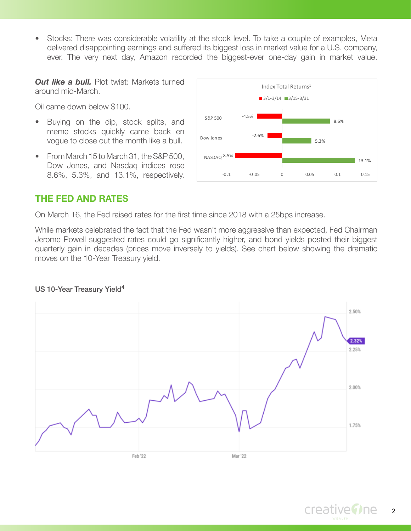• Stocks: There was considerable volatility at the stock level. To take a couple of examples, Meta delivered disappointing earnings and suffered its biggest loss in market value for a U.S. company, ever. The very next day, Amazon recorded the biggest-ever one-day gain in market value.

*Out like a bull.* Plot twist: Markets turned around mid-March.

Oil came down below \$100.

- Buying on the dip, stock splits, and meme stocks quickly came back en vogue to close out the month like a bull.
- From March 15 to March 31, the S&P 500, Dow Jones, and Nasdaq indices rose 8.6%, 5.3%, and 13.1%, respectively.



#### **THE FED AND RATES**

On March 16, the Fed raised rates for the first time since 2018 with a 25bps increase.

While markets celebrated the fact that the Fed wasn't more aggressive than expected, Fed Chairman Jerome Powell suggested rates could go significantly higher, and bond yields posted their biggest quarterly gain in decades (prices move inversely to yields). See chart below showing the dramatic moves on the 10-Year Treasury yield.

#### US 10-Year Treasury Yield<sup>4</sup>